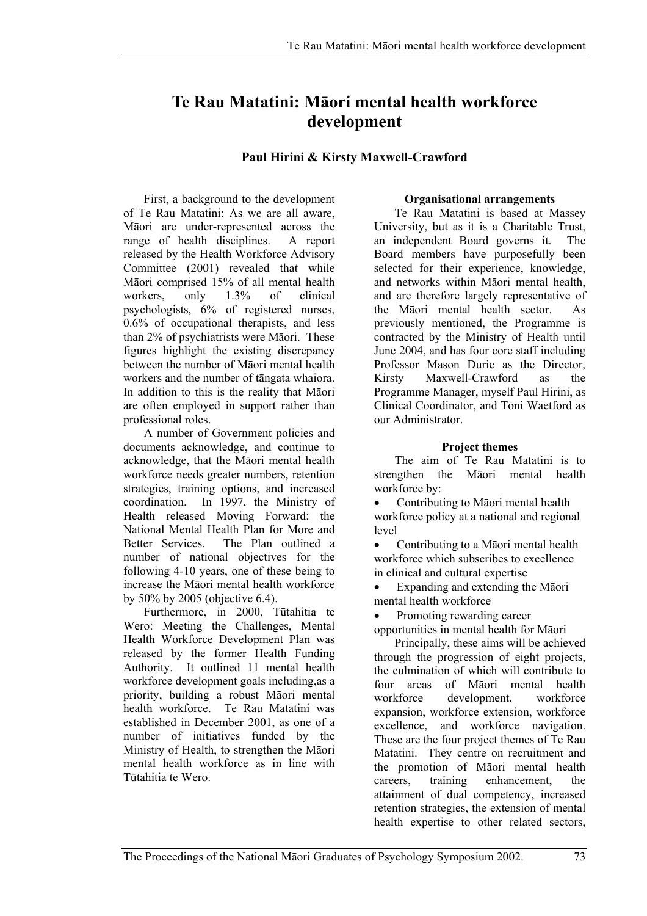# **Te Rau Matatini: Māori mental health workforce development**

## **Paul Hirini & Kirsty Maxwell-Crawford**

First, a background to the development of Te Rau Matatini: As we are all aware, Māori are under-represented across the range of health disciplines. A report released by the Health Workforce Advisory Committee (2001) revealed that while Māori comprised 15% of all mental health workers, only 1.3% of clinical psychologists, 6% of registered nurses, 0.6% of occupational therapists, and less than 2% of psychiatrists were Māori. These figures highlight the existing discrepancy between the number of Māori mental health workers and the number of tāngata whaiora. In addition to this is the reality that Māori are often employed in support rather than professional roles.

A number of Government policies and documents acknowledge, and continue to acknowledge, that the Māori mental health workforce needs greater numbers, retention strategies, training options, and increased coordination. In 1997, the Ministry of Health released Moving Forward: the National Mental Health Plan for More and Better Services. The Plan outlined a number of national objectives for the following 4-10 years, one of these being to increase the Māori mental health workforce by 50% by 2005 (objective 6.4).

Furthermore, in 2000, Tūtahitia te Wero: Meeting the Challenges, Mental Health Workforce Development Plan was released by the former Health Funding Authority. It outlined 11 mental health workforce development goals including,as a priority, building a robust Māori mental health workforce. Te Rau Matatini was established in December 2001, as one of a number of initiatives funded by the Ministry of Health, to strengthen the Māori mental health workforce as in line with Tūtahitia te Wero.

## **Organisational arrangements**

Te Rau Matatini is based at Massey University, but as it is a Charitable Trust, an independent Board governs it. The Board members have purposefully been selected for their experience, knowledge, and networks within Māori mental health, and are therefore largely representative of the Māori mental health sector. As previously mentioned, the Programme is contracted by the Ministry of Health until June 2004, and has four core staff including Professor Mason Durie as the Director, Kirsty Maxwell-Crawford as the Programme Manager, myself Paul Hirini, as Clinical Coordinator, and Toni Waetford as our Administrator.

## **Project themes**

The aim of Te Rau Matatini is to strengthen the Māori mental health workforce by:

• Contributing to Māori mental health workforce policy at a national and regional level

• Contributing to a Māori mental health workforce which subscribes to excellence in clinical and cultural expertise

• Expanding and extending the Māori mental health workforce

Promoting rewarding career

opportunities in mental health for Māori

Principally, these aims will be achieved through the progression of eight projects, the culmination of which will contribute to four areas of Māori mental health workforce development, workforce expansion, workforce extension, workforce excellence, and workforce navigation. These are the four project themes of Te Rau Matatini. They centre on recruitment and the promotion of Māori mental health careers, training enhancement, the attainment of dual competency, increased retention strategies, the extension of mental health expertise to other related sectors,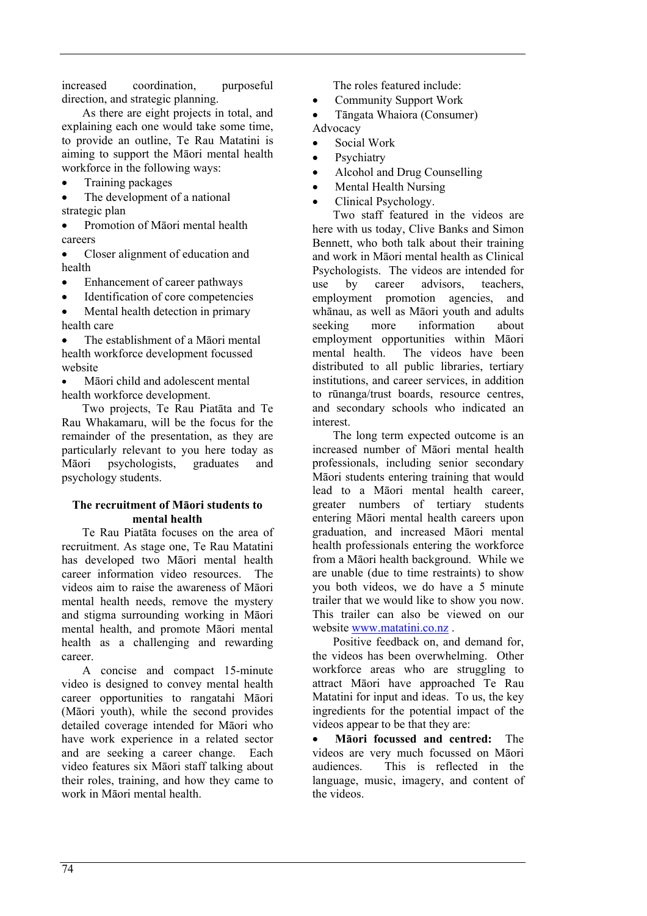increased coordination, purposeful direction, and strategic planning.

As there are eight projects in total, and explaining each one would take some time, to provide an outline, Te Rau Matatini is aiming to support the Māori mental health workforce in the following ways:

• Training packages

The development of a national strategic plan

• Promotion of Māori mental health careers

• Closer alignment of education and health

- Enhancement of career pathways
- Identification of core competencies

Mental health detection in primary health care

The establishment of a Māori mental health workforce development focussed website

• Māori child and adolescent mental health workforce development.

Two projects, Te Rau Piatāta and Te Rau Whakamaru, will be the focus for the remainder of the presentation, as they are particularly relevant to you here today as Māori psychologists, graduates and psychology students.

#### **The recruitment of Māori students to mental health**

Te Rau Piatāta focuses on the area of recruitment. As stage one, Te Rau Matatini has developed two Māori mental health career information video resources. The videos aim to raise the awareness of Māori mental health needs, remove the mystery and stigma surrounding working in Māori mental health, and promote Māori mental health as a challenging and rewarding career.

A concise and compact 15-minute video is designed to convey mental health career opportunities to rangatahi Māori (Māori youth), while the second provides detailed coverage intended for Māori who have work experience in a related sector and are seeking a career change. Each video features six Māori staff talking about their roles, training, and how they came to work in Māori mental health.

The roles featured include:

- Community Support Work
- Tāngata Whaiora (Consumer)
- Advocacy
- Social Work
- **Psychiatry**
- Alcohol and Drug Counselling
- Mental Health Nursing
- Clinical Psychology.

Two staff featured in the videos are here with us today, Clive Banks and Simon Bennett, who both talk about their training and work in Māori mental health as Clinical Psychologists. The videos are intended for use by career advisors, teachers, employment promotion agencies, and whānau, as well as Māori youth and adults seeking more information about employment opportunities within Māori mental health. The videos have been distributed to all public libraries, tertiary institutions, and career services, in addition to rūnanga/trust boards, resource centres, and secondary schools who indicated an interest.

The long term expected outcome is an increased number of Māori mental health professionals, including senior secondary Māori students entering training that would lead to a Māori mental health career, greater numbers of tertiary students entering Māori mental health careers upon graduation, and increased Māori mental health professionals entering the workforce from a Māori health background. While we are unable (due to time restraints) to show you both videos, we do have a 5 minute trailer that we would like to show you now. This trailer can also be viewed on our website www.matatini.co.nz.

Positive feedback on, and demand for, the videos has been overwhelming. Other workforce areas who are struggling to attract Māori have approached Te Rau Matatini for input and ideas. To us, the key ingredients for the potential impact of the videos appear to be that they are:

• **Māori focussed and centred:** The videos are very much focussed on Māori audiences. This is reflected in the language, music, imagery, and content of the videos.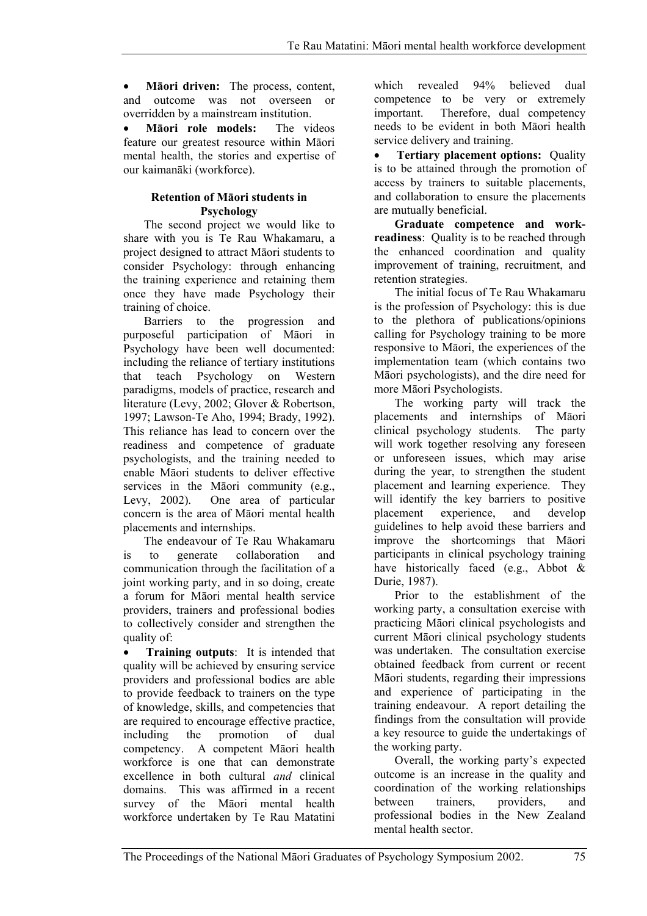• **Māori driven:** The process, content, and outcome was not overseen or overridden by a mainstream institution.

• **Māori role models:** The videos feature our greatest resource within Māori mental health, the stories and expertise of our kaimanāki (workforce).

## **Retention of Māori students in Psychology**

The second project we would like to share with you is Te Rau Whakamaru, a project designed to attract Māori students to consider Psychology: through enhancing the training experience and retaining them once they have made Psychology their training of choice.

Barriers to the progression and purposeful participation of Māori in Psychology have been well documented: including the reliance of tertiary institutions that teach Psychology on Western paradigms, models of practice, research and literature (Levy, 2002; Glover & Robertson, 1997; Lawson-Te Aho, 1994; Brady, 1992). This reliance has lead to concern over the readiness and competence of graduate psychologists, and the training needed to enable Māori students to deliver effective services in the Māori community (e.g., Levy, 2002). One area of particular concern is the area of Māori mental health placements and internships.

The endeavour of Te Rau Whakamaru is to generate collaboration and communication through the facilitation of a joint working party, and in so doing, create a forum for Māori mental health service providers, trainers and professional bodies to collectively consider and strengthen the quality of:

• **Training outputs**: It is intended that quality will be achieved by ensuring service providers and professional bodies are able to provide feedback to trainers on the type of knowledge, skills, and competencies that are required to encourage effective practice, including the promotion of dual competency. A competent Māori health workforce is one that can demonstrate excellence in both cultural *and* clinical domains. This was affirmed in a recent survey of the Māori mental health workforce undertaken by Te Rau Matatini which revealed 94% believed dual competence to be very or extremely important. Therefore, dual competency needs to be evident in both Māori health service delivery and training.

• **Tertiary placement options:** Quality is to be attained through the promotion of access by trainers to suitable placements, and collaboration to ensure the placements are mutually beneficial.

**Graduate competence and workreadiness**: Quality is to be reached through the enhanced coordination and quality improvement of training, recruitment, and retention strategies.

The initial focus of Te Rau Whakamaru is the profession of Psychology: this is due to the plethora of publications/opinions calling for Psychology training to be more responsive to Māori, the experiences of the implementation team (which contains two Māori psychologists), and the dire need for more Māori Psychologists.

The working party will track the placements and internships of Māori clinical psychology students. The party will work together resolving any foreseen or unforeseen issues, which may arise during the year, to strengthen the student placement and learning experience. They will identify the key barriers to positive placement experience, and develop guidelines to help avoid these barriers and improve the shortcomings that Māori participants in clinical psychology training have historically faced (e.g., Abbot & Durie, 1987).

Prior to the establishment of the working party, a consultation exercise with practicing Māori clinical psychologists and current Māori clinical psychology students was undertaken. The consultation exercise obtained feedback from current or recent Māori students, regarding their impressions and experience of participating in the training endeavour. A report detailing the findings from the consultation will provide a key resource to guide the undertakings of the working party.

Overall, the working party's expected outcome is an increase in the quality and coordination of the working relationships between trainers, providers, and professional bodies in the New Zealand mental health sector.